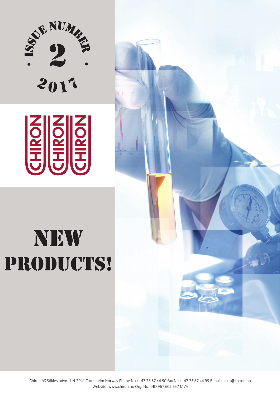

# 

# NEW PRODUCTS!



Chiron AS Stiklestadvn. 1 N-7041 Trondheim Norway Phone No.: +47 73 87 44 90 Fax No.: +47 73 87 44 99 E-mail: sales@chiron.no Website: www.chiron.no Org. No.: NO 967 607 657 MVA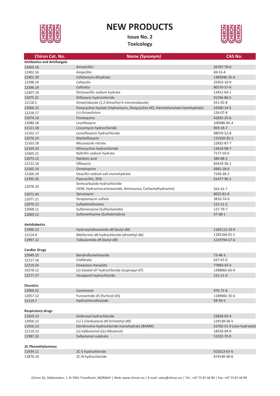

# **NEW PRODUCTS**

**Issue No. 2 Toxicology**



### **Chiron Cat. No. Name** *(Synonym)* **CAS No. Antibiotics and Antifungals** 12403.16 Amoxicillin 26787-78-0 12402.16 Ampicillin 69-53-4 12401.20 Cefalonium dihydrate 1385046-35-4 12398.14 Cefazolin 25953-19-9 12396.19 Ceftiofur 80370-57-6 12407.19 Dicloxacillin sodium hydrate 13412-64-1 12075.21 Difloxacin hydrochloride 91296-86-5 12118.5 Dimetridazole (1,2-Dimethyl-5-nitroimidazole) 551-92-8 12066.22 Doxycycline hyclate (Hydramycin, Doxycycline HCl, Hemiethanolate hemihydrate) 24390-14-5 12218.17 (+)-Griseofulvin 126-07-8 12074.14 Flumequine 42835-25-6 12080.18 Levofloxacin 100986-85-4 12121.18 **Lincomycin hydrochloride** 859-18-7 12162.17 Lomefloxacin hydrochloride 98079-52-8 12076.14 Marbofloxacin 115550-35-1 12163.18 Miconazole nitrate 22832-87-7 12164.23 Minocycline hydrochloride 13614-98-7 12405.21 Nafcillin sodium hydrate 7177-50-6 12073.12 Nalidixic acid 389-08-2 12122.18 Ofloxacin 82419-36-1 12165.14 Ormetoprim 6981-18-6 12166.19 Oxacillin sodium salt monohydrate 7240-38-2 12395.26 Piperacillin, 95% 61477-96-1 12078.10 Semicarbazide hydrochloride (SEM, Hydrazinecarboxamide, Aminourea, Carbamylhydrazine) 563-41-7 12071.43 Spiramycin 8025-81-8 12077.21 Streptomycin sulfate 3810-74-0 12070.12 Sulfadimethoxine 122-11-2 12068.11 Sulfamerazine (Sulfanilamide) 127-79-7 12069.12 Sulfamethazine (Sulfadimidine) 57-68-1 **Antidiabetics** 11996.12 Hydroxytolbutamide-d9 (butyl-d9) 1185112-19-9 12114.4 Metformin-d6 hydrochloride (dimethyl-d6) 1185166-01-1 11997.12 Tolbutamide-d9 (butyl-d9) 1219794-57-6 **Cardiac Drugs** 12049.15 Bendroflumethiazide 73-48-3 12117.18 Clofibrate 637-07-0 12219.24 Doxazosin mesylate 77883-43-3 10278.12 (±)-Sotalol-d7 hydrochloride (isopropyl-d7) 1398065-65-0 12277.27 Verapamil hydrochloride 152-11-4 **Diuretics** 12060.22 Canrenone 976-71-6 12057.12 Furosemide-d5 (furfuryl-d5) 1189482-35-6 12119.7 Hydrochlorothiazide 58-93-5 **Respiratory drugs**  11919.13 Ambroxol hydrochloride 23828-92-4 12056.12 (+/-)-Clenbuterol-d9 (trimethyl-d9) 129138-58-5 11916.13 Dembrexine hydrochloride monohydrate (BANM) 52702-51-9 (non-hydrated) 12110.13 (±)-Salbutamol ((±)-Albuterol) 18559-94-9 11987.26 Salbutamol sulphate 51022-70-9 **2C Phenethylamines** 11934.11 2C-E hydrochloride 923013-67-6 11876.10 2C-N hydrochloride 874140-40-6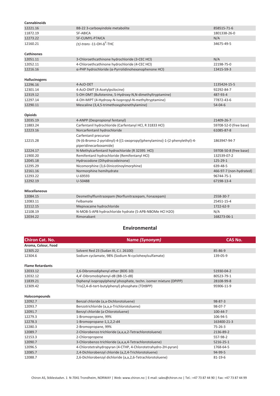| Cannabinoids         |                                                                            |                         |
|----------------------|----------------------------------------------------------------------------|-------------------------|
| 12221.16             | BB-22 3-carboxyindole metabolite                                           | 858515-71-6             |
| 11872.19             | 5F-ABICA                                                                   | 1801338-26-0            |
| 12273.22             | 5F-CUMYL-P7AICA                                                            | N/A                     |
| 12160.21             | $(\pm)$ -trans -11-OH- $\Delta^9$ -THC                                     | 34675-49-5              |
| <b>Cathinones</b>    |                                                                            |                         |
| 12051.11             | 3-Chloroethcathinone hydrochloride (3-CEC HCl)                             | N/A                     |
| 12052.11             | 4-Chloroethcathinone hydrochloride (4-CEC HCl)                             | 22198-75-0              |
| 12216.16             | $\alpha$ -PHP hydrochloride ( $\alpha$ -Pyrrolidinohexanophenone HCl)      | 13415-59-3              |
| Hallucinogens        |                                                                            |                         |
| 12296.16             | 4-AcO-DET                                                                  | 1135424-15-5            |
| 12301.14             | 4-AcO-DMT (4-Acetylpsilocine)                                              | 92292-84-7              |
| 12319.12             | 5-OH-DMT (Bufotenine, 5-Hydroxy-N,N-dimethyltryptamine)                    | 487-93-4                |
| 12297.14             | 4-OH-MIPT (4-Hydroxy-N-Isopropyl-N-methyltryptamine)                       | 77872-43-6              |
| 12290.11             | Mescaline (3,4,5-trimethoxyphenethylamine)                                 | $54 - 04 - 6$           |
| <b>Opioids</b>       |                                                                            |                         |
| 12035.19             | 4-ANPP (Despropionyl fentanyl)                                             | 21409-26-7              |
| 11883.24             | Carfentanil hydrochloride (Carfentanyl HCl, R 31833 HCl)                   | 59708-52-0 (free base)  |
| 12223.16             | Norcarfentanil hydrochloride                                               | 61085-87-8              |
|                      | Carfentanil precursor                                                      |                         |
| 12215.28             | (N-(6-Bromo-2-pyridinyl)-4-[(1-oxopropyl)phenylamino]-1-(2-phenylethyl)-4- | 1863947-94-7            |
|                      | piperidinecarboxamide)                                                     |                         |
| 12224.17             | N-Methylcarfentanil hydrochloride (R 32395 HCl)                            | 59708-50-8 (free base)  |
| 11900.20             | Remifentanil hydrochloride (Remifentanyl HCl)                              | 132539-07-2             |
| 12045.18             | Hydrocodone (Dihydrocodeinone)                                             | 125-29-1                |
| 12295.29             | Nicomorphine (3,6-Dinicotinoylmorphine)                                    | 639-48-5                |
| 12161.16             | Normorphine hemihydrate                                                    | 466-97-7 (non-hydrated) |
| 12293.22             | U-69593                                                                    | 96744-75-1              |
| 12292.19             | U-50488                                                                    | 67198-13-4              |
|                      |                                                                            |                         |
| <b>Miscellaneous</b> |                                                                            |                         |
| 12084.15             | Desmethylflunitrazepam (Norflunitrazepam, Fonazepam)                       | 2558-30-7               |
| 12083.11             | Felbamate                                                                  | 25451-15-4              |
| 12112.15             | Mepivacaine hydrochloride                                                  | 1722-62-9               |
| 12108.19             | N-MOB-5-APB hydrochloride hydrate (5-APB-NBOMe HCl H2O)                    | N/A                     |
| 12034.22             | Rimonabant                                                                 | 168273-06-1             |
|                      |                                                                            |                         |

## **Environmental**

| <b>Chiron Cat. No.</b>  | Name (Synonym)                                                    | <b>CAS No.</b> |
|-------------------------|-------------------------------------------------------------------|----------------|
| Aroma, Colour, Food     |                                                                   |                |
| 12305.22                | Solvent Red 23 (Sudan III, C.I. 26100)                            | 85-86-9        |
| 12304.6                 | Sodium cyclamate, 98% (Sodium N-cyclohexylsulfamate)              | 139-05-9       |
| <b>Flame Retardants</b> |                                                                   |                |
| 12033.12                | 2,6-Dibromodiphenyl ether (BDE-10)                                | 51930-04-2     |
| 12032.12                | 4,4'-Dibromobiphenyl-d8 (BB-15-d8)                                | 80523-79-1     |
| 11839.21                | Diphenyl isopropylphenyl phosphate, techn. isomer mixture (DPIPP) | 28108-99-8     |
| 12309.42                | Tris(2,4-di-tert-butylphenyl) phosphate (TDtBPP)                  | 95906-11-9     |
| Halocompounds           |                                                                   |                |
| 12092.7                 | Benzal chloride (a,a-Dichlorotoluene)                             | $98 - 87 - 3$  |
| 12093.7                 | Benzotrichloride (a,a,a-Trichlorotoluene)                         | 98-07-7        |
| 12091.7                 | Benzyl chloride (a-Chlorotoluene)                                 | 100-44-7       |
| 12279.3                 | 1-Bromopropane, 99%                                               | 106-94-5       |
| 12278.3                 | 1-Bromopropane-1,1,2,2-d4                                         | 163400-21-3    |
| 12280.3                 | 2-Bromopropane, 99%                                               | $75 - 26 - 3$  |
| 12089.7                 | 2-Chlorobenzo trichloride (a,a,a,2-Tetrachlorotoluene)            | 2136-89-2      |
| 12153.3                 | 2-Chloropropene                                                   | 557-98-2       |
| 12090.7                 | 3-Chlorobenzo trichloride (a,a,a,4-Tetrachlorotoluene)            | 5216-25-1      |
| 12096.5                 | 4-Chlorotetrahydropyran (4-CTHP, 4-Chlorotetrahydro-2H-pyran)     | 1768-64-5      |
| 12085.7                 | 2,4-Dichlorobenzyl chloride (a,2,4-Trichlorotoluene)              | 94-99-5        |
| 12088.7                 | 2,6-Dichlorobenzyl dichloride (a,a,2,6-Tetrachlorotoluene)        | 81-19-6        |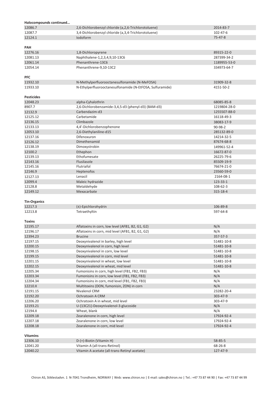| Halocompounds continued |                                                           |                          |
|-------------------------|-----------------------------------------------------------|--------------------------|
| 12086.7                 | 2,6-Dichlorobenzyl chloride (a, 2,6-Trichlorotoluene)     | 2014-83-7                |
| 12087.7                 | 3,4-Dichlorobenzyl chloride (a,3,4-Trichlorotoluene)      | 102-47-6                 |
| 12124.1                 | lodoform                                                  | 75-47-8                  |
|                         |                                                           |                          |
| PAH                     |                                                           |                          |
| 12276.16                | 1,8-Dichloropyrene                                        | 89315-22-0               |
| 12081.13                | Naphthalene-1,2,3,4,9,10-13C6                             | 287399-34-2              |
| 12061.14                | Phenanthrene-13C6                                         | 1189955-53-0             |
| 12054.14                | Phenanthrene-9,10-13C2                                    | 334973-64-7              |
| <b>PFC</b>              |                                                           |                          |
| 11932.10                | N-Methylperfluorooctanesulfonamide (N-MeFOSA)             | 31909-32-8               |
| 11933.10                | N-Ethylperfluorooctanesulfonamide (N-EtFOSA, Sulfuramide) | 4151-50-2                |
| <b>Pesticides</b>       |                                                           |                          |
| 12048.23                | alpha-Cyhalothrin                                         | 68085-85-8               |
| 8907.7                  | 2,6-Dichlorobenzamide-3,4,5-d3 (phenyl-d3) (BAM-d3)       | 1219804-28-0             |
| 12132.9                 | Carbendazim-d3                                            | 1255507-88-0             |
| 12125.12                | Carbetamide                                               | 16118-49-3               |
| 12136.15                | Climbazole                                                | 38083-17-9               |
| 12133.13                | 4,4'-Dichlorobenzophenone                                 | 90-98-2                  |
| 12053.10                | 2,6-Diethylaniline-d15                                    | 285132-89-0              |
| 12137.16                | Difenoxuron                                               | 14214-32-5               |
| 12126.12                | Dimethenamid                                              | 87674-68-8               |
| 12138.19                | Dimoxystrobin                                             | 149961-52-4              |
| 12100.2                 | Ethephon                                                  | 16672-87-0               |
| 12139.13                | Ethofumesate<br>Flusilasole                               | 26225-79-6               |
| 12143.16<br>12145.16    | Flutriafol                                                | 85509-19-9               |
| 12146.9                 | Heptenofos                                                | 76674-21-0<br>23560-59-0 |
| 12127.13                | Lenacil                                                   | 2164-08-1                |
| 12099.4                 | Maleic hydrazide                                          | 123-33-1                 |
| 12128.8                 | Metaldehyde                                               | 108-62-3                 |
| 12149.12                | Mexacarbate                                               | 315-18-4                 |
|                         |                                                           |                          |
| <b>Tin-Organics</b>     |                                                           |                          |
| 12217.3                 | (±)-Epichlorohydrin                                       | 106-89-8                 |
| 12213.8                 | Tetraethyltin                                             | 597-64-8                 |
| Toxins                  |                                                           |                          |
| 12195.17                | Aflatoxins in corn, low level (AFB1, B2, G1, G2)          | N/A                      |
| 12196.17                | Aflatoxins in corn, mid level (AFB1, B2, G1, G2)          | N/A                      |
| 12394.23                | <b>Brucine</b>                                            | 357-57-3                 |
| 12197.15                | Deoxynivalenol in barley, high level                      | 51481-10-8               |
| 12200.15                | Deoxynivalenol in corn, high level                        | 51481-10-8               |
| 12198.15                | Deoxynivalenol in corn, low level                         | 51481-10-8               |
| 12199.15                | Deoxynivalenol in corn, mid level                         | 51481-10-8               |
| 12201.15                | Deoxynivalenol in wheat, low level                        | 51481-10-8               |
| 12202.15                | Deoxynivalenol in wheat, mid level                        | 51481-10-8               |
| 12205.34                | Fumonisins in corn, high level (FB1, FB2, FB3)            | N/A                      |
| 12203.34                | Fumonisins in corn, low level (FB1, FB2, FB3)             | N/A                      |
| 12204.34                | Fumonisins in corn, mid level (FB1, FB2, FB3)             | N/A                      |
| 12210.X                 | Multitoxins (DON, fumonisin, ZON) in corn                 | N/A                      |
| 12191.15                | Nivalenol CRM                                             | 23282-20-4               |
| 12192.20                | Ochratoxin A CRM                                          | 303-47-9                 |
| 12206.20                | Ochratoxin A in wheat, mid level                          | 303-47-9                 |
| 12193.21                | U-{13C21}-Deoxynivalenol-3-glucoside                      | N/A                      |
| 12194.X                 | Wheat, blank                                              | N/A                      |
| 12209.18                | Zearalenone in corn, high level                           | 17924-92-4               |
| 12207.18                | Zearalenone in corn, low level                            | 17924-92-4               |
| 12208.18                | Zearalenone in corn, mid level                            | 17924-92-4               |
| <b>Vitamins</b>         |                                                           |                          |
| 12306.10                | D-(+)-Biotin (Vitamin H)                                  | 58-85-5                  |
| 12041.20                | Vitamin A (all-trans-Retinol)                             | 68-26-8                  |
| 12040.22                | Vitamin A acetate (all-trans-Retinyl acetate)             | 127-47-9                 |
|                         |                                                           |                          |